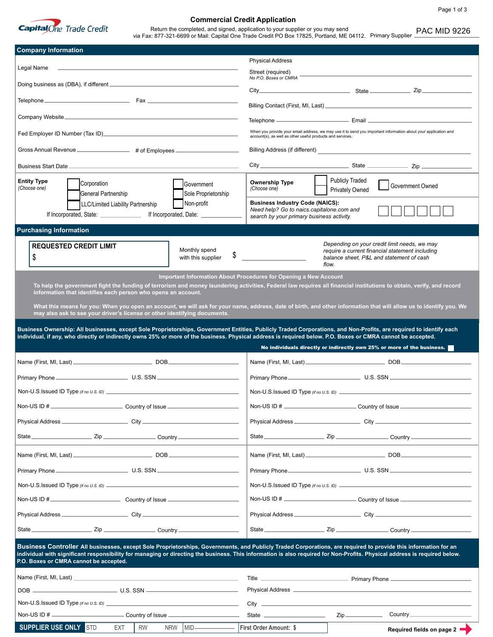

## **Commercial Credit Application**

Return the completed, and signed, application to your supplier or you may send Return the completed, and signed, application to your supplier or you may send<br>via Fax: 877-321-6699 or Mail: Capital One Trade Credit PO Box 17825, Portland, ME 04112. Primary Supplier ـ

| <b>Company Information</b>                                                                                                                                                                                                                                                                                                                                                             |                                                                                                                                                                                                                                     |  |  |
|----------------------------------------------------------------------------------------------------------------------------------------------------------------------------------------------------------------------------------------------------------------------------------------------------------------------------------------------------------------------------------------|-------------------------------------------------------------------------------------------------------------------------------------------------------------------------------------------------------------------------------------|--|--|
| Legal Name                                                                                                                                                                                                                                                                                                                                                                             | <b>Physical Address</b><br>Street (required)                                                                                                                                                                                        |  |  |
| Doing business as (DBA), if different _____________________________                                                                                                                                                                                                                                                                                                                    | No P.O. Boxes or CMRA                                                                                                                                                                                                               |  |  |
| Telephone Fax <b>Fax</b>                                                                                                                                                                                                                                                                                                                                                               |                                                                                                                                                                                                                                     |  |  |
|                                                                                                                                                                                                                                                                                                                                                                                        |                                                                                                                                                                                                                                     |  |  |
|                                                                                                                                                                                                                                                                                                                                                                                        | When you provide your email address, we may use it to send you important information about your application and                                                                                                                     |  |  |
|                                                                                                                                                                                                                                                                                                                                                                                        | account(s), as well as other useful products and services.                                                                                                                                                                          |  |  |
| Gross Annual Revenue _________________ # of Employees __________                                                                                                                                                                                                                                                                                                                       | Billing Address (if different) <b>Example 20</b> and 20 and 20 and 20 and 20 and 20 and 20 and 20 and 20 and 20 and 20 and 20 and 20 and 20 and 20 and 20 and 20 and 20 and 20 and 20 and 20 and 20 and 20 and 20 and 20 and 20 and |  |  |
|                                                                                                                                                                                                                                                                                                                                                                                        |                                                                                                                                                                                                                                     |  |  |
| <b>Entity Type</b><br>Corporation<br>Government<br>(Choose one)                                                                                                                                                                                                                                                                                                                        | <b>Publicly Traded</b><br><b>Ownership Type</b><br>Government Owned<br>(Choose one)<br><b>Privately Owned</b>                                                                                                                       |  |  |
| General Partnership<br>Sole Proprietorship<br>Non-profit<br>LLC/Limited Liability Partnership                                                                                                                                                                                                                                                                                          | <b>Business Industry Code (NAICS):</b>                                                                                                                                                                                              |  |  |
| If Incorporated, State: ________________ If Incorporated, Date: _______________                                                                                                                                                                                                                                                                                                        | Need help? Go to naics.capitalone.com and<br>search by your primary business activity.                                                                                                                                              |  |  |
| <b>Purchasing Information</b>                                                                                                                                                                                                                                                                                                                                                          |                                                                                                                                                                                                                                     |  |  |
| <b>REQUESTED CREDIT LIMIT</b><br>Monthly spend<br>\$<br>\$<br>with this supplier                                                                                                                                                                                                                                                                                                       | Depending on your credit limit needs, we may<br>require a current financial statement including<br>balance sheet, P&L and statement of cash<br>flow.                                                                                |  |  |
|                                                                                                                                                                                                                                                                                                                                                                                        | <b>Important Information About Procedures for Opening a New Account</b>                                                                                                                                                             |  |  |
| information that identifies each person who opens an account.                                                                                                                                                                                                                                                                                                                          | To help the government fight the funding of terrorism and money laundering activities, Federal law requires all financial institutions to obtain, verify, and record                                                                |  |  |
|                                                                                                                                                                                                                                                                                                                                                                                        | What this means for you: When you open an account, we will ask for your name, address, date of birth, and other information that will allow us to identify you. We                                                                  |  |  |
| may also ask to see your driver's license or other identifying documents.                                                                                                                                                                                                                                                                                                              |                                                                                                                                                                                                                                     |  |  |
|                                                                                                                                                                                                                                                                                                                                                                                        | Business Ownership: All businesses, except Sole Proprietorships, Government Entities, Publicly Traded Corporations, and Non-Profits, are required to identify each                                                                  |  |  |
| individual, if any, who directly or indirectly owns 25% or more of the business. Physical address is required below. P.O. Boxes or CMRA cannot be accepted.                                                                                                                                                                                                                            |                                                                                                                                                                                                                                     |  |  |
|                                                                                                                                                                                                                                                                                                                                                                                        | No individuals directly or indirectly own 25% or more of the business.                                                                                                                                                              |  |  |
|                                                                                                                                                                                                                                                                                                                                                                                        |                                                                                                                                                                                                                                     |  |  |
|                                                                                                                                                                                                                                                                                                                                                                                        |                                                                                                                                                                                                                                     |  |  |
|                                                                                                                                                                                                                                                                                                                                                                                        |                                                                                                                                                                                                                                     |  |  |
| Non-US ID $#_$<br>Country of Issue _                                                                                                                                                                                                                                                                                                                                                   | ___________ Country of Issue __                                                                                                                                                                                                     |  |  |
|                                                                                                                                                                                                                                                                                                                                                                                        |                                                                                                                                                                                                                                     |  |  |
|                                                                                                                                                                                                                                                                                                                                                                                        |                                                                                                                                                                                                                                     |  |  |
|                                                                                                                                                                                                                                                                                                                                                                                        |                                                                                                                                                                                                                                     |  |  |
|                                                                                                                                                                                                                                                                                                                                                                                        |                                                                                                                                                                                                                                     |  |  |
|                                                                                                                                                                                                                                                                                                                                                                                        |                                                                                                                                                                                                                                     |  |  |
|                                                                                                                                                                                                                                                                                                                                                                                        |                                                                                                                                                                                                                                     |  |  |
|                                                                                                                                                                                                                                                                                                                                                                                        |                                                                                                                                                                                                                                     |  |  |
|                                                                                                                                                                                                                                                                                                                                                                                        |                                                                                                                                                                                                                                     |  |  |
|                                                                                                                                                                                                                                                                                                                                                                                        |                                                                                                                                                                                                                                     |  |  |
| Business Controller All businesses, except Sole Proprietorships, Governments, and Publicly Traded Corporations, are required to provide this information for an<br>individual with significant responsibility for managing or directing the business. This information is also required for Non-Profits. Physical address is required below.<br>P.O. Boxes or CMRA cannot be accepted. |                                                                                                                                                                                                                                     |  |  |
| Name (First, MI, Last) and the contract of the contract of the contract of the contract of the contract of the contract of the contract of the contract of the contract of the contract of the contract of the contract of the                                                                                                                                                         |                                                                                                                                                                                                                                     |  |  |
|                                                                                                                                                                                                                                                                                                                                                                                        |                                                                                                                                                                                                                                     |  |  |
|                                                                                                                                                                                                                                                                                                                                                                                        |                                                                                                                                                                                                                                     |  |  |
| Non-US ID # _______________________________Country of Issue ____________________<br>SUPPLIER USE ONLY STD<br>NRW MID<br><b>RW</b>                                                                                                                                                                                                                                                      | Zip<br>State <u>such and the state</u><br>Country __________________<br><b>First Order Amount: \$</b><br>Required fields on page 2                                                                                                  |  |  |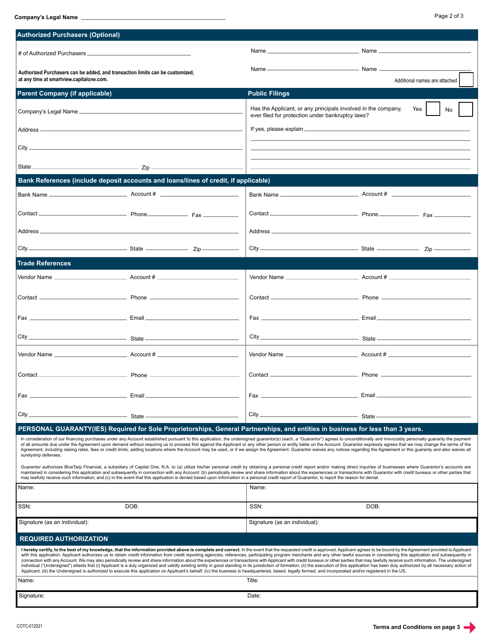**Company's Legal Name**

| <b>Authorized Purchasers (Optional)</b>                                                                                                                                                                                                                                                                                                                                                                                                                                                                                                                                                                                                                                                                                                                                                                                                                                                                                                                                                                                                                                                                                                            |                                                                                                                                 |                                                                                                                                                                                                                                                                                    |                               |  |
|----------------------------------------------------------------------------------------------------------------------------------------------------------------------------------------------------------------------------------------------------------------------------------------------------------------------------------------------------------------------------------------------------------------------------------------------------------------------------------------------------------------------------------------------------------------------------------------------------------------------------------------------------------------------------------------------------------------------------------------------------------------------------------------------------------------------------------------------------------------------------------------------------------------------------------------------------------------------------------------------------------------------------------------------------------------------------------------------------------------------------------------------------|---------------------------------------------------------------------------------------------------------------------------------|------------------------------------------------------------------------------------------------------------------------------------------------------------------------------------------------------------------------------------------------------------------------------------|-------------------------------|--|
|                                                                                                                                                                                                                                                                                                                                                                                                                                                                                                                                                                                                                                                                                                                                                                                                                                                                                                                                                                                                                                                                                                                                                    |                                                                                                                                 |                                                                                                                                                                                                                                                                                    |                               |  |
| Authorized Purchasers can be added, and transaction limits can be customized,<br>at any time at smartview.capitalone.com.                                                                                                                                                                                                                                                                                                                                                                                                                                                                                                                                                                                                                                                                                                                                                                                                                                                                                                                                                                                                                          |                                                                                                                                 |                                                                                                                                                                                                                                                                                    | Additional names are attached |  |
| <b>Parent Company (if applicable)</b>                                                                                                                                                                                                                                                                                                                                                                                                                                                                                                                                                                                                                                                                                                                                                                                                                                                                                                                                                                                                                                                                                                              |                                                                                                                                 | <b>Public Filings</b>                                                                                                                                                                                                                                                              |                               |  |
| Company's Legal Name                                                                                                                                                                                                                                                                                                                                                                                                                                                                                                                                                                                                                                                                                                                                                                                                                                                                                                                                                                                                                                                                                                                               |                                                                                                                                 | Has the Applicant, or any principals involved in the company,<br>Yes I<br>No                                                                                                                                                                                                       |                               |  |
|                                                                                                                                                                                                                                                                                                                                                                                                                                                                                                                                                                                                                                                                                                                                                                                                                                                                                                                                                                                                                                                                                                                                                    |                                                                                                                                 | ever filed for protection under bankruptcy laws?<br>If yes, please explain example and the state of the state of the state of the state of the state of the state of the state of the state of the state of the state of the state of the state of the state of the state of the s |                               |  |
|                                                                                                                                                                                                                                                                                                                                                                                                                                                                                                                                                                                                                                                                                                                                                                                                                                                                                                                                                                                                                                                                                                                                                    |                                                                                                                                 |                                                                                                                                                                                                                                                                                    |                               |  |
|                                                                                                                                                                                                                                                                                                                                                                                                                                                                                                                                                                                                                                                                                                                                                                                                                                                                                                                                                                                                                                                                                                                                                    |                                                                                                                                 |                                                                                                                                                                                                                                                                                    |                               |  |
| Bank References (include deposit accounts and loans/lines of credit, if applicable)                                                                                                                                                                                                                                                                                                                                                                                                                                                                                                                                                                                                                                                                                                                                                                                                                                                                                                                                                                                                                                                                |                                                                                                                                 |                                                                                                                                                                                                                                                                                    |                               |  |
|                                                                                                                                                                                                                                                                                                                                                                                                                                                                                                                                                                                                                                                                                                                                                                                                                                                                                                                                                                                                                                                                                                                                                    |                                                                                                                                 |                                                                                                                                                                                                                                                                                    |                               |  |
|                                                                                                                                                                                                                                                                                                                                                                                                                                                                                                                                                                                                                                                                                                                                                                                                                                                                                                                                                                                                                                                                                                                                                    |                                                                                                                                 |                                                                                                                                                                                                                                                                                    |                               |  |
|                                                                                                                                                                                                                                                                                                                                                                                                                                                                                                                                                                                                                                                                                                                                                                                                                                                                                                                                                                                                                                                                                                                                                    |                                                                                                                                 |                                                                                                                                                                                                                                                                                    |                               |  |
|                                                                                                                                                                                                                                                                                                                                                                                                                                                                                                                                                                                                                                                                                                                                                                                                                                                                                                                                                                                                                                                                                                                                                    |                                                                                                                                 |                                                                                                                                                                                                                                                                                    |                               |  |
| <b>Trade References</b>                                                                                                                                                                                                                                                                                                                                                                                                                                                                                                                                                                                                                                                                                                                                                                                                                                                                                                                                                                                                                                                                                                                            |                                                                                                                                 |                                                                                                                                                                                                                                                                                    |                               |  |
|                                                                                                                                                                                                                                                                                                                                                                                                                                                                                                                                                                                                                                                                                                                                                                                                                                                                                                                                                                                                                                                                                                                                                    |                                                                                                                                 |                                                                                                                                                                                                                                                                                    |                               |  |
|                                                                                                                                                                                                                                                                                                                                                                                                                                                                                                                                                                                                                                                                                                                                                                                                                                                                                                                                                                                                                                                                                                                                                    |                                                                                                                                 |                                                                                                                                                                                                                                                                                    |                               |  |
|                                                                                                                                                                                                                                                                                                                                                                                                                                                                                                                                                                                                                                                                                                                                                                                                                                                                                                                                                                                                                                                                                                                                                    |                                                                                                                                 |                                                                                                                                                                                                                                                                                    |                               |  |
|                                                                                                                                                                                                                                                                                                                                                                                                                                                                                                                                                                                                                                                                                                                                                                                                                                                                                                                                                                                                                                                                                                                                                    |                                                                                                                                 |                                                                                                                                                                                                                                                                                    |                               |  |
|                                                                                                                                                                                                                                                                                                                                                                                                                                                                                                                                                                                                                                                                                                                                                                                                                                                                                                                                                                                                                                                                                                                                                    |                                                                                                                                 |                                                                                                                                                                                                                                                                                    |                               |  |
|                                                                                                                                                                                                                                                                                                                                                                                                                                                                                                                                                                                                                                                                                                                                                                                                                                                                                                                                                                                                                                                                                                                                                    |                                                                                                                                 |                                                                                                                                                                                                                                                                                    |                               |  |
| Fax                                                                                                                                                                                                                                                                                                                                                                                                                                                                                                                                                                                                                                                                                                                                                                                                                                                                                                                                                                                                                                                                                                                                                | Email                                                                                                                           | Fax                                                                                                                                                                                                                                                                                | Email                         |  |
| City.                                                                                                                                                                                                                                                                                                                                                                                                                                                                                                                                                                                                                                                                                                                                                                                                                                                                                                                                                                                                                                                                                                                                              | State                                                                                                                           | $City_$                                                                                                                                                                                                                                                                            | State -                       |  |
|                                                                                                                                                                                                                                                                                                                                                                                                                                                                                                                                                                                                                                                                                                                                                                                                                                                                                                                                                                                                                                                                                                                                                    | PERSONAL GUARANTY(IES) Required for Sole Proprietorships, General Partnerships, and entities in business for less than 3 years. |                                                                                                                                                                                                                                                                                    |                               |  |
| In consideration of our financing purchases under any Account established pursuant to this application, the undersigned guarantor(s) (each, a "Guarantor") agrees to unconditionally and irrevocably personally guaranty the p<br>of all amounts due under the Agreement upon demand without requiring us to proceed first against the Applicant or any other person or entity liable on the Account. Guarantor expressly agrees that we may change the terms of<br>Agreement, including raising rates, fees or credit limits, adding locations where the Account may be used, or if we assign the Agreement. Guarantor waives any notices regarding the Agreement or this guaranty and also waive<br>suretyship defenses.                                                                                                                                                                                                                                                                                                                                                                                                                         |                                                                                                                                 |                                                                                                                                                                                                                                                                                    |                               |  |
| Guarantor authorizes BlueTarp Financial, a subsidiary of Capital One, N.A. to (a) utilize his/her personal credit by obtaining a personal credit report and/or making direct inquiries of businesses where Guarantor's account<br>maintained in considering this application and subsequently in connection with any Account: (b) periodically review and share information about the experiences or transactions with Guarantor with credit bureaus or other pa<br>may lawfully receive such information; and (c) in the event that this application is denied based upon information in a personal credit report of Guarantor, to report the reason for denial.                                                                                                                                                                                                                                                                                                                                                                                                                                                                                  |                                                                                                                                 |                                                                                                                                                                                                                                                                                    |                               |  |
| Name:                                                                                                                                                                                                                                                                                                                                                                                                                                                                                                                                                                                                                                                                                                                                                                                                                                                                                                                                                                                                                                                                                                                                              |                                                                                                                                 | Name:                                                                                                                                                                                                                                                                              |                               |  |
| SSN:                                                                                                                                                                                                                                                                                                                                                                                                                                                                                                                                                                                                                                                                                                                                                                                                                                                                                                                                                                                                                                                                                                                                               | DOB:                                                                                                                            | SSN:                                                                                                                                                                                                                                                                               | DOB:                          |  |
| Signature (as an individual):                                                                                                                                                                                                                                                                                                                                                                                                                                                                                                                                                                                                                                                                                                                                                                                                                                                                                                                                                                                                                                                                                                                      |                                                                                                                                 | Signature (as an individual):                                                                                                                                                                                                                                                      |                               |  |
| <b>REQUIRED AUTHORIZATION</b>                                                                                                                                                                                                                                                                                                                                                                                                                                                                                                                                                                                                                                                                                                                                                                                                                                                                                                                                                                                                                                                                                                                      |                                                                                                                                 |                                                                                                                                                                                                                                                                                    |                               |  |
| I hereby certify, to the best of my knowledge, that the information provided above is complete and correct. In the event that the requested credit is approved, Applicant agrees to be bound by the Agreement provided to Appl<br>with this application. Applicant authorizes us to obtain credit information from credit reporting agencies, references, participating program merchants and any other lawful sources in considering this application and subse<br>connection with any Account. We may also periodically review and share information about the experiences or transactions with Applicant with credit bureaus or other parties that may lawfully receive such information. The u<br>individual ("Undersigned") attests that (i) Applicant is a duly organized and validly existing entity in good standing in its jurisdiction of formation; (ii) the execution of this application has been duly authorized by al<br>Applicant; (iii) the Undersigned is authorized to execute this application on Applicant's behalf; (iv) the business is headquartered, based, legally formed, and incorporated and/or registered in the US. |                                                                                                                                 |                                                                                                                                                                                                                                                                                    |                               |  |
| Name:<br>Title:                                                                                                                                                                                                                                                                                                                                                                                                                                                                                                                                                                                                                                                                                                                                                                                                                                                                                                                                                                                                                                                                                                                                    |                                                                                                                                 |                                                                                                                                                                                                                                                                                    |                               |  |
| Signature:                                                                                                                                                                                                                                                                                                                                                                                                                                                                                                                                                                                                                                                                                                                                                                                                                                                                                                                                                                                                                                                                                                                                         |                                                                                                                                 | Date:                                                                                                                                                                                                                                                                              |                               |  |